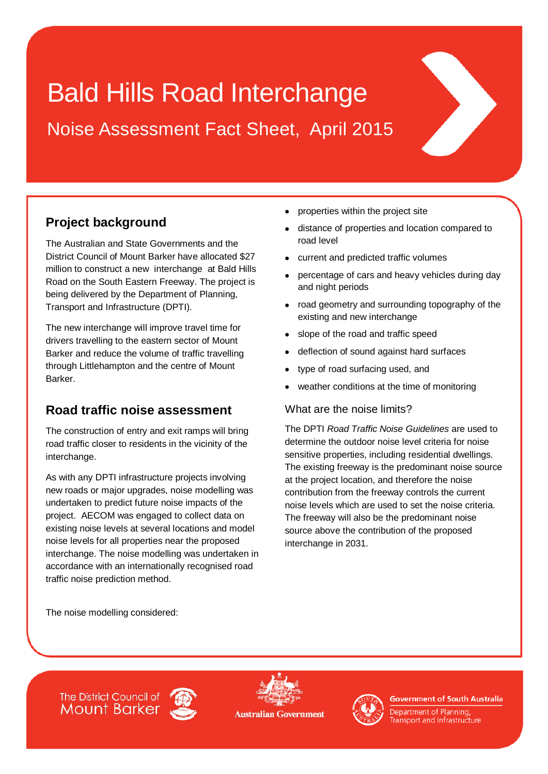# Bald Hills Road Interchange

Noise Assessment Fact Sheet, April 2015

# **Project background**

The Australian and State Governments and the District Council of Mount Barker have allocated \$27 million to construct a new interchange at Bald Hills Road on the South Eastern Freeway. The project is being delivered by the Department of Planning, Transport and Infrastructure (DPTI).

The new interchange will improve travel time for drivers travelling to the eastern sector of Mount Barker and reduce the volume of traffic travelling through Littlehampton and the centre of Mount Barker.

## **Road traffic noise assessment**

The construction of entry and exit ramps will bring road traffic closer to residents in the vicinity of the interchange.

As with any DPTI infrastructure projects involving new roads or major upgrades, noise modelling was undertaken to predict future noise impacts of the project. AECOM was engaged to collect data on existing noise levels at several locations and model noise levels for all properties near the proposed interchange. The noise modelling was undertaken in accordance with an internationally recognised road traffic noise prediction method.

- properties within the project site
- distance of properties and location compared to road level
- current and predicted traffic volumes
- percentage of cars and heavy vehicles during day and night periods
- road geometry and surrounding topography of the existing and new interchange
- slope of the road and traffic speed
- deflection of sound against hard surfaces
- type of road surfacing used, and
- weather conditions at the time of monitoring

#### What are the noise limits?

The DPTI *Road Traffic Noise Guidelines* are used to determine the outdoor noise level criteria for noise sensitive properties, including residential dwellings. The existing freeway is the predominant noise source at the project location, and therefore the noise contribution from the freeway controls the current noise levels which are used to set the noise criteria. The freeway will also be the predominant noise source above the contribution of the proposed interchange in 2031.

The noise modelling considered:









**Government of South Australia** 

Department of Planning, ransport and Infrastructure